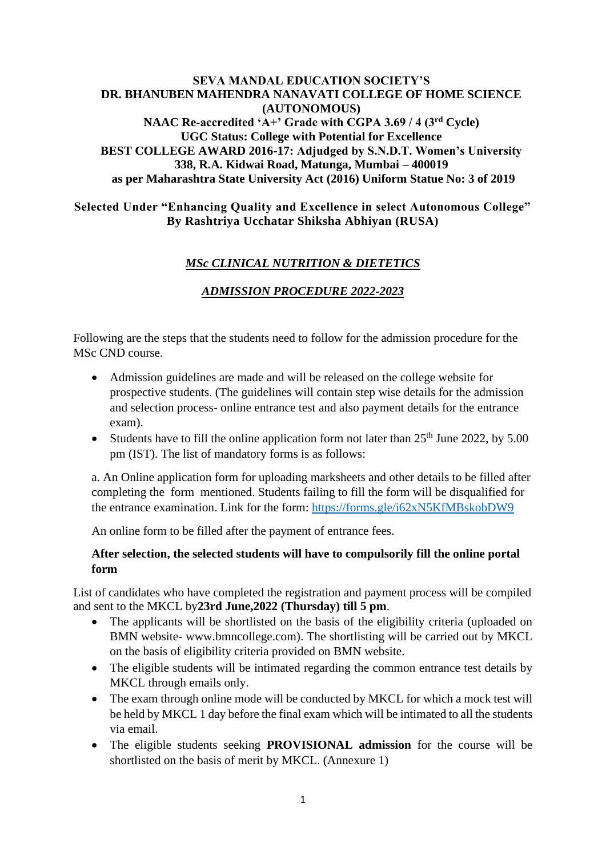#### **SEVA MANDAL EDUCATION SOCIETY'S DR. BHANUBEN MAHENDRA NANAVATI COLLEGE OF HOME SCIENCE (AUTONOMOUS) NAAC Re-accredited 'A+' Grade with CGPA 3.69 / 4 (3rd Cycle) UGC Status: College with Potential for Excellence BEST COLLEGE AWARD 2016-17: Adjudged by S.N.D.T. Women's University 338, R.A. Kidwai Road, Matunga, Mumbai – 400019 as per Maharashtra State University Act (2016) Uniform Statue No: 3 of 2019**

#### **Selected Under "Enhancing Quality and Excellence in select Autonomous College" By Rashtriya Ucchatar Shiksha Abhiyan (RUSA)**

# *MSc CLINICAL NUTRITION & DIETETICS*

# *ADMISSION PROCEDURE 2022-2023*

Following are the steps that the students need to follow for the admission procedure for the MSc CND course.

- Admission guidelines are made and will be released on the college website for prospective students. (The guidelines will contain step wise details for the admission and selection process- online entrance test and also payment details for the entrance exam).
- Students have to fill the online application form not later than  $25<sup>th</sup>$  June 2022, by 5.00 pm (IST). The list of mandatory forms is as follows:

a. An Online application form for uploading marksheets and other details to be filled after completing the form mentioned. Students failing to fill the form will be disqualified for the entrance examination. Link for the form: https://forms.gle/i62xN5KfMBskobDW9

An online form to be filled after the payment of entrance fees.

#### **After selection, the selected students will have to compulsorily fill the online portal form**

List of candidates who have completed the registration and payment process will be compiled and sent to the MKCL by**23rd June,2022 (Thursday) till 5 pm**.

- The applicants will be shortlisted on the basis of the eligibility criteria (uploaded on BMN website- www.bmncollege.com). The shortlisting will be carried out by MKCL on the basis of eligibility criteria provided on BMN website.
- The eligible students will be intimated regarding the common entrance test details by MKCL through emails only.
- The exam through online mode will be conducted by MKCL for which a mock test will be held by MKCL 1 day before the final exam which will be intimated to all the students via email.
- The eligible students seeking **PROVISIONAL admission** for the course will be shortlisted on the basis of merit by MKCL. (Annexure 1)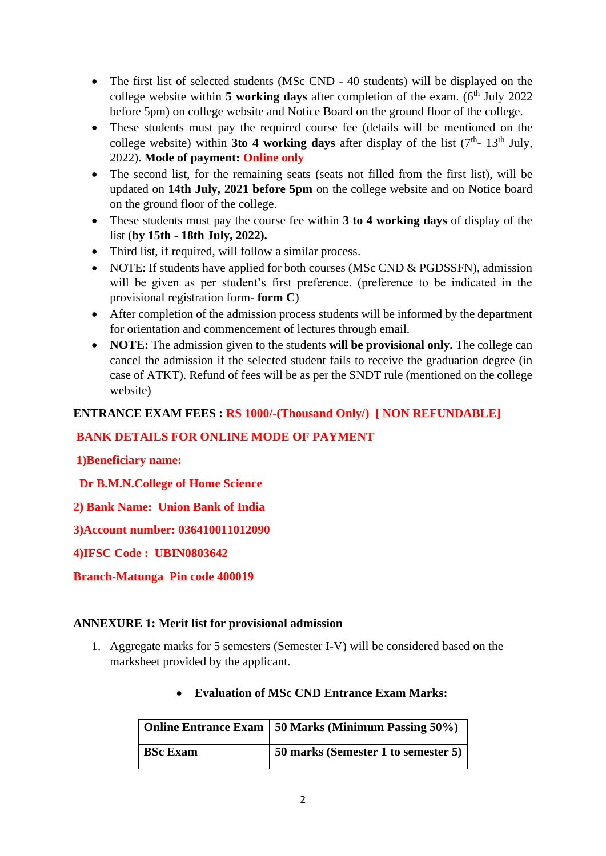- The first list of selected students (MSc CND 40 students) will be displayed on the college website within 5 working days after completion of the exam. (6<sup>th</sup> July 2022 before 5pm) on college website and Notice Board on the ground floor of the college.
- These students must pay the required course fee (details will be mentioned on the college website) within **3to 4 working days** after display of the list  $(7<sup>th</sup> - 13<sup>th</sup>$  July, 2022). **Mode of payment: Online only**
- The second list, for the remaining seats (seats not filled from the first list), will be updated on **14th July, 2021 before 5pm** on the college website and on Notice board on the ground floor of the college.
- These students must pay the course fee within **3 to 4 working days** of display of the list (**by 15th - 18th July, 2022).**
- Third list, if required, will follow a similar process.
- NOTE: If students have applied for both courses (MSc CND & PGDSSFN), admission will be given as per student's first preference. (preference to be indicated in the provisional registration form- **form C**)
- After completion of the admission process students will be informed by the department for orientation and commencement of lectures through email.
- **NOTE:** The admission given to the students **will be provisional only.** The college can cancel the admission if the selected student fails to receive the graduation degree (in case of ATKT). Refund of fees will be as per the SNDT rule (mentioned on the college website)

# **ENTRANCE EXAM FEES : RS 1000/-(Thousand Only/) [ NON REFUNDABLE]**

# **BANK DETAILS FOR ONLINE MODE OF PAYMENT**

**1)Beneficiary name:** 

 **Dr B.M.N.College of Home Science**

**2) Bank Name: Union Bank of India**

**3)Account number: 036410011012090**

**4)IFSC Code : UBIN0803642**

**Branch-Matunga Pin code 400019**

#### **ANNEXURE 1: Merit list for provisional admission**

1. Aggregate marks for 5 semesters (Semester I-V) will be considered based on the marksheet provided by the applicant.

|                 | Online Entrance Exam   50 Marks (Minimum Passing 50%) |
|-----------------|-------------------------------------------------------|
| <b>BSc Exam</b> | 50 marks (Semester 1 to semester 5)                   |

#### • **Evaluation of MSc CND Entrance Exam Marks:**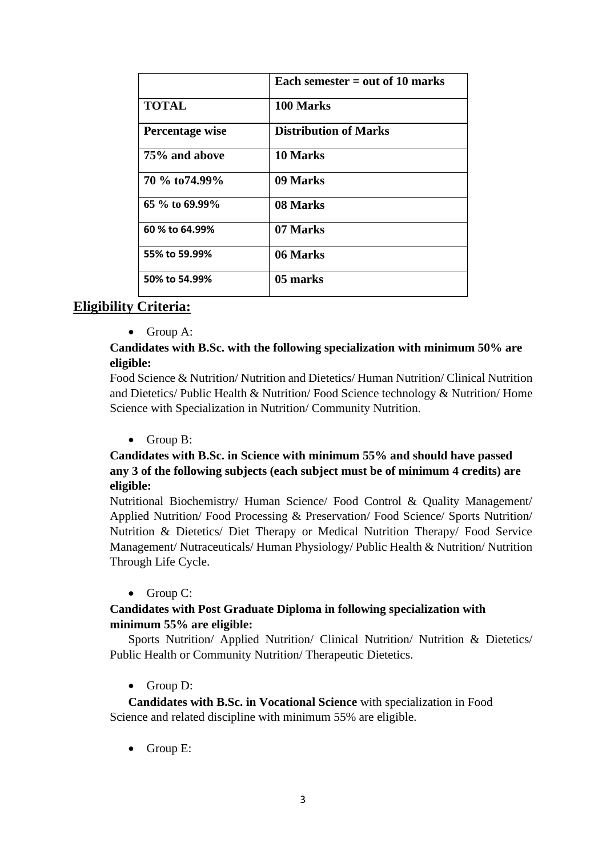|                 | Each semester $=$ out of 10 marks |
|-----------------|-----------------------------------|
| <b>TOTAL</b>    | 100 Marks                         |
| Percentage wise | <b>Distribution of Marks</b>      |
| 75% and above   | 10 Marks                          |
| 70 % to 74.99%  | 09 Marks                          |
| 65 % to 69.99%  | 08 Marks                          |
| 60 % to 64.99%  | 07 Marks                          |
| 55% to 59.99%   | 06 Marks                          |
| 50% to 54.99%   | 05 marks                          |

# **Eligibility Criteria:**

• Group A:

### **Candidates with B.Sc. with the following specialization with minimum 50% are eligible:**

Food Science & Nutrition/ Nutrition and Dietetics/ Human Nutrition/ Clinical Nutrition and Dietetics/ Public Health & Nutrition/ Food Science technology & Nutrition/ Home Science with Specialization in Nutrition/ Community Nutrition.

• Group B:

# **Candidates with B.Sc. in Science with minimum 55% and should have passed any 3 of the following subjects (each subject must be of minimum 4 credits) are eligible:**

Nutritional Biochemistry/ Human Science/ Food Control & Quality Management/ Applied Nutrition/ Food Processing & Preservation/ Food Science/ Sports Nutrition/ Nutrition & Dietetics/ Diet Therapy or Medical Nutrition Therapy/ Food Service Management/ Nutraceuticals/ Human Physiology/ Public Health & Nutrition/ Nutrition Through Life Cycle.

#### • Group C:

# **Candidates with Post Graduate Diploma in following specialization with minimum 55% are eligible:**

Sports Nutrition/ Applied Nutrition/ Clinical Nutrition/ Nutrition & Dietetics/ Public Health or Community Nutrition/ Therapeutic Dietetics.

• Group D:

**Candidates with B.Sc. in Vocational Science** with specialization in Food Science and related discipline with minimum 55% are eligible.

• Group E: